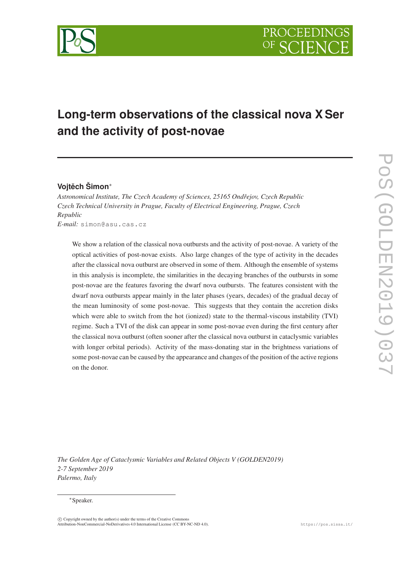

# **Long-term observations of the classical nova X Ser and the activity of post-novae**

## Vojtěch Šimon<sup>∗</sup>

*Astronomical Institute, The Czech Academy of Sciences, 25165 Ondˇrejov, Czech Republic Czech Technical University in Prague, Faculty of Electrical Engineering, Prague, Czech Republic E-mail:* simon@asu.cas.cz

We show a relation of the classical nova outbursts and the activity of post-novae. A variety of the optical activities of post-novae exists. Also large changes of the type of activity in the decades after the classical nova outburst are observed in some of them. Although the ensemble of systems in this analysis is incomplete, the similarities in the decaying branches of the outbursts in some post-novae are the features favoring the dwarf nova outbursts. The features consistent with the dwarf nova outbursts appear mainly in the later phases (years, decades) of the gradual decay of the mean luminosity of some post-novae. This suggests that they contain the accretion disks which were able to switch from the hot (ionized) state to the thermal-viscous instability (TVI) regime. Such a TVI of the disk can appear in some post-novae even during the first century after the classical nova outburst (often sooner after the classical nova outburst in cataclysmic variables with longer orbital periods). Activity of the mass-donating star in the brightness variations of some post-novae can be caused by the appearance and changes of the position of the active regions on the donor.

*The Golden Age of Cataclysmic Variables and Related Objects V (GOLDEN2019) 2-7 September 2019 Palermo, Italy*

## <sup>∗</sup>Speaker.

 $\overline{c}$  Copyright owned by the author(s) under the terms of the Creative Commons Attribution-NonCommercial-NoDerivatives 4.0 International License (CC BY-NC-ND 4.0). https://pos.sissa.it/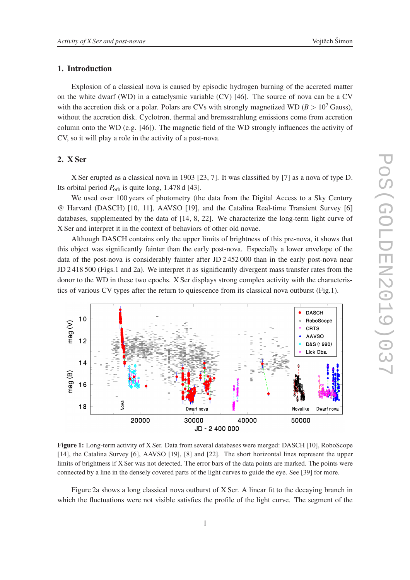## 1. Introduction

Explosion of a classical nova is caused by episodic hydrogen burning of the accreted matter on the white dwarf (WD) in a cataclysmic variable (CV) [46]. The source of nova can be a CV with the accretion disk or a polar. Polars are CVs with strongly magnetized WD ( $B > 10<sup>7</sup>$  Gauss), without the accretion disk. Cyclotron, thermal and bremsstrahlung emissions come from accretion column onto the WD (e.g. [46]). The magnetic field of the WD strongly influences the activity of CV, so it will play a role in the activity of a post-nova.

## 2. X Ser

X Ser erupted as a classical nova in 1903 [23, 7]. It was classified by [7] as a nova of type D. Its orbital period  $P_{\text{orb}}$  is quite long, 1.478 d [43].

We used over 100 years of photometry (the data from the Digital Access to a Sky Century @ Harvard (DASCH) [10, 11], AAVSO [19], and the Catalina Real-time Transient Survey [6] databases, supplemented by the data of [14, 8, 22]. We characterize the long-term light curve of X Ser and interpret it in the context of behaviors of other old novae.

Although DASCH contains only the upper limits of brightness of this pre-nova, it shows that this object was significantly fainter than the early post-nova. Especially a lower envelope of the data of the post-nova is considerably fainter after JD 2 452 000 than in the early post-nova near JD 2 418 500 (Figs.1 and 2a). We interpret it as significantly divergent mass transfer rates from the donor to the WD in these two epochs. X Ser displays strong complex activity with the characteristics of various CV types after the return to quiescence from its classical nova outburst (Fig.1).



Figure 1: Long-term activity of X Ser. Data from several databases were merged: DASCH [10], RoboScope [14], the Catalina Survey [6], AAVSO [19], [8] and [22]. The short horizontal lines represent the upper limits of brightness if X Ser was not detected. The error bars of the data points are marked. The points were connected by a line in the densely covered parts of the light curves to guide the eye. See [39] for more.

Figure 2a shows a long classical nova outburst of X Ser. A linear fit to the decaying branch in which the fluctuations were not visible satisfies the profile of the light curve. The segment of the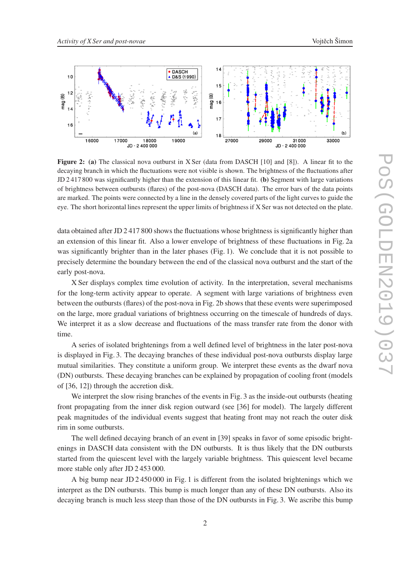

Figure 2: (a) The classical nova outburst in X Ser (data from DASCH [10] and [8]). A linear fit to the decaying branch in which the fluctuations were not visible is shown. The brightness of the fluctuations after JD 2 417 800 was significantly higher than the extension of this linear fit. (b) Segment with large variations of brightness between outbursts (flares) of the post-nova (DASCH data). The error bars of the data points are marked. The points were connected by a line in the densely covered parts of the light curves to guide the eye. The short horizontal lines represent the upper limits of brightness if X Ser was not detected on the plate.

data obtained after JD 2 417 800 shows the fluctuations whose brightness is significantly higher than an extension of this linear fit. Also a lower envelope of brightness of these fluctuations in Fig. 2a was significantly brighter than in the later phases (Fig. 1). We conclude that it is not possible to precisely determine the boundary between the end of the classical nova outburst and the start of the early post-nova.

X Ser displays complex time evolution of activity. In the interpretation, several mechanisms for the long-term activity appear to operate. A segment with large variations of brightness even between the outbursts (flares) of the post-nova in Fig. 2b shows that these events were superimposed on the large, more gradual variations of brightness occurring on the timescale of hundreds of days. We interpret it as a slow decrease and fluctuations of the mass transfer rate from the donor with time.

A series of isolated brightenings from a well defined level of brightness in the later post-nova is displayed in Fig. 3. The decaying branches of these individual post-nova outbursts display large mutual similarities. They constitute a uniform group. We interpret these events as the dwarf nova (DN) outbursts. These decaying branches can be explained by propagation of cooling front (models of [36, 12]) through the accretion disk.

We interpret the slow rising branches of the events in Fig. 3 as the inside-out outbursts (heating front propagating from the inner disk region outward (see [36] for model). The largely different peak magnitudes of the individual events suggest that heating front may not reach the outer disk rim in some outbursts.

The well defined decaying branch of an event in [39] speaks in favor of some episodic brightenings in DASCH data consistent with the DN outbursts. It is thus likely that the DN outbursts started from the quiescent level with the largely variable brightness. This quiescent level became more stable only after JD 2 453 000.

A big bump near JD 2 450 000 in Fig. 1 is different from the isolated brightenings which we interpret as the DN outbursts. This bump is much longer than any of these DN outbursts. Also its decaying branch is much less steep than those of the DN outbursts in Fig. 3. We ascribe this bump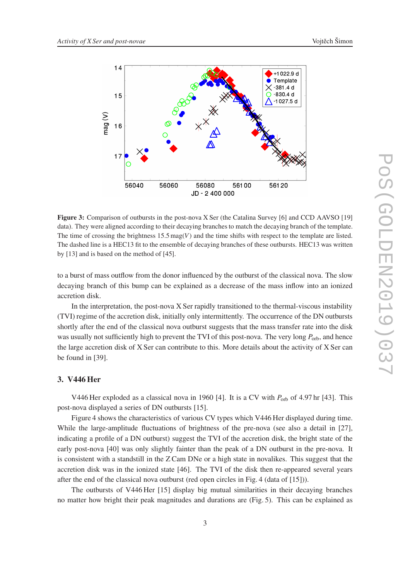

Figure 3: Comparison of outbursts in the post-nova X Ser (the Catalina Survey [6] and CCD AAVSO [19] data). They were aligned according to their decaying branches to match the decaying branch of the template. The time of crossing the brightness  $15.5 \text{mag}(V)$  and the time shifts with respect to the template are listed. The dashed line is a HEC13 fit to the ensemble of decaying branches of these outbursts. HEC13 was written by [13] and is based on the method of [45].

to a burst of mass outflow from the donor influenced by the outburst of the classical nova. The slow decaying branch of this bump can be explained as a decrease of the mass inflow into an ionized accretion disk.

In the interpretation, the post-nova X Ser rapidly transitioned to the thermal-viscous instability (TVI) regime of the accretion disk, initially only intermittently. The occurrence of the DN outbursts shortly after the end of the classical nova outburst suggests that the mass transfer rate into the disk was usually not sufficiently high to prevent the TVI of this post-nova. The very long  $P_{\text{orb}}$ , and hence the large accretion disk of X Ser can contribute to this. More details about the activity of X Ser can be found in [39].

## 3. V446 Her

V446 Her exploded as a classical nova in 1960 [4]. It is a CV with  $P_{\text{orb}}$  of 4.97 hr [43]. This post-nova displayed a series of DN outbursts [15].

Figure 4 shows the characteristics of various CV types which V446 Her displayed during time. While the large-amplitude fluctuations of brightness of the pre-nova (see also a detail in [27], indicating a profile of a DN outburst) suggest the TVI of the accretion disk, the bright state of the early post-nova [40] was only slightly fainter than the peak of a DN outburst in the pre-nova. It is consistent with a standstill in the Z Cam DNe or a high state in novalikes. This suggest that the accretion disk was in the ionized state [46]. The TVI of the disk then re-appeared several years after the end of the classical nova outburst (red open circles in Fig. 4 (data of [15])).

The outbursts of V446 Her [15] display big mutual similarities in their decaying branches no matter how bright their peak magnitudes and durations are (Fig. 5). This can be explained as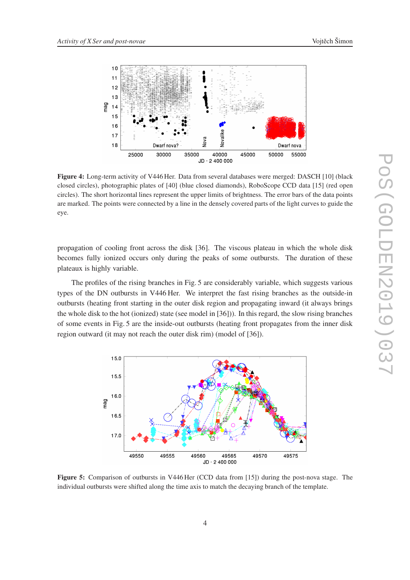



Figure 4: Long-term activity of V446 Her. Data from several databases were merged: DASCH [10] (black closed circles), photographic plates of [40] (blue closed diamonds), RoboScope CCD data [15] (red open circles). The short horizontal lines represent the upper limits of brightness. The error bars of the data points are marked. The points were connected by a line in the densely covered parts of the light curves to guide the eye.

propagation of cooling front across the disk [36]. The viscous plateau in which the whole disk becomes fully ionized occurs only during the peaks of some outbursts. The duration of these plateaux is highly variable.

The profiles of the rising branches in Fig. 5 are considerably variable, which suggests various types of the DN outbursts in V446 Her. We interpret the fast rising branches as the outside-in outbursts (heating front starting in the outer disk region and propagating inward (it always brings the whole disk to the hot (ionized) state (see model in [36])). In this regard, the slow rising branches of some events in Fig. 5 are the inside-out outbursts (heating front propagates from the inner disk region outward (it may not reach the outer disk rim) (model of [36]).



Figure 5: Comparison of outbursts in V446 Her (CCD data from [15]) during the post-nova stage. The individual outbursts were shifted along the time axis to match the decaying branch of the template.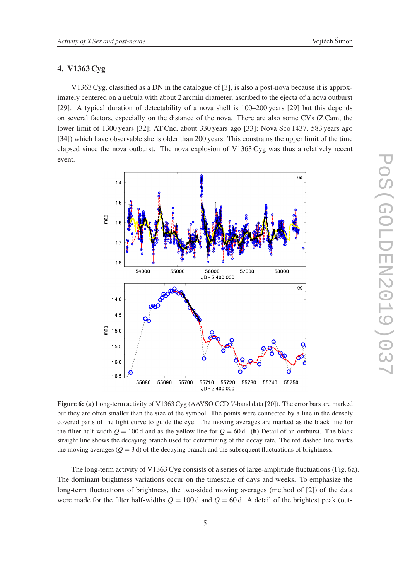## 4. V1363 Cyg

V1363 Cyg, classified as a DN in the catalogue of [3], is also a post-nova because it is approximately centered on a nebula with about 2 arcmin diameter, ascribed to the ejecta of a nova outburst [29]. A typical duration of detectability of a nova shell is 100–200 years [29] but this depends on several factors, especially on the distance of the nova. There are also some CVs (Z Cam, the lower limit of 1300 years [32]; AT Cnc, about 330 years ago [33]; Nova Sco 1437, 583 years ago [34]) which have observable shells older than 200 years. This constrains the upper limit of the time elapsed since the nova outburst. The nova explosion of V1363 Cyg was thus a relatively recent event.



Figure 6: (a) Long-term activity of V1363 Cyg (AAVSO CCD *V*-band data [20]). The error bars are marked but they are often smaller than the size of the symbol. The points were connected by a line in the densely covered parts of the light curve to guide the eye. The moving averages are marked as the black line for the filter half-width  $Q = 100 d$  and as the yellow line for  $Q = 60 d$ . (b) Detail of an outburst. The black straight line shows the decaying branch used for determining of the decay rate. The red dashed line marks the moving averages  $(Q = 3 d)$  of the decaying branch and the subsequent fluctuations of brightness.

The long-term activity of V1363 Cyg consists of a series of large-amplitude fluctuations (Fig. 6a). The dominant brightness variations occur on the timescale of days and weeks. To emphasize the long-term fluctuations of brightness, the two-sided moving averages (method of [2]) of the data were made for the filter half-widths  $Q = 100$  d and  $Q = 60$  d. A detail of the brightest peak (out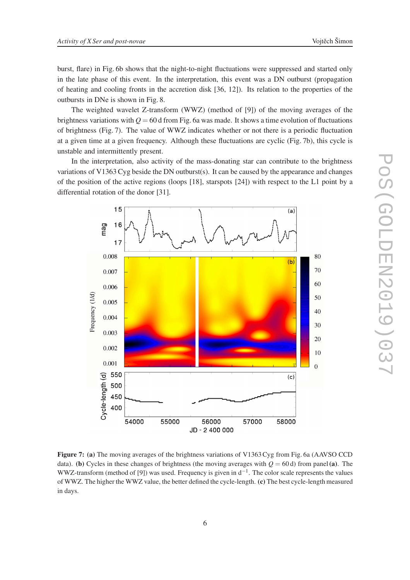burst, flare) in Fig. 6b shows that the night-to-night fluctuations were suppressed and started only in the late phase of this event. In the interpretation, this event was a DN outburst (propagation of heating and cooling fronts in the accretion disk [36, 12]). Its relation to the properties of the outbursts in DNe is shown in Fig. 8.

The weighted wavelet Z-transform (WWZ) (method of [9]) of the moving averages of the brightness variations with  $Q = 60$  d from Fig. 6a was made. It shows a time evolution of fluctuations of brightness (Fig. 7). The value of WWZ indicates whether or not there is a periodic fluctuation at a given time at a given frequency. Although these fluctuations are cyclic (Fig. 7b), this cycle is unstable and intermittently present.

In the interpretation, also activity of the mass-donating star can contribute to the brightness variations of V1363 Cyg beside the DN outburst(s). It can be caused by the appearance and changes of the position of the active regions (loops [18], starspots [24]) with respect to the L1 point by a differential rotation of the donor [31].



Figure 7: (a) The moving averages of the brightness variations of V1363 Cyg from Fig. 6a (AAVSO CCD data). (b) Cycles in these changes of brightness (the moving averages with  $Q = 60 d$ ) from panel (a). The WWZ-transform (method of [9]) was used. Frequency is given in  $d^{-1}$ . The color scale represents the values of WWZ. The higher the WWZ value, the better defined the cycle-length. (c) The best cycle-length measured in days.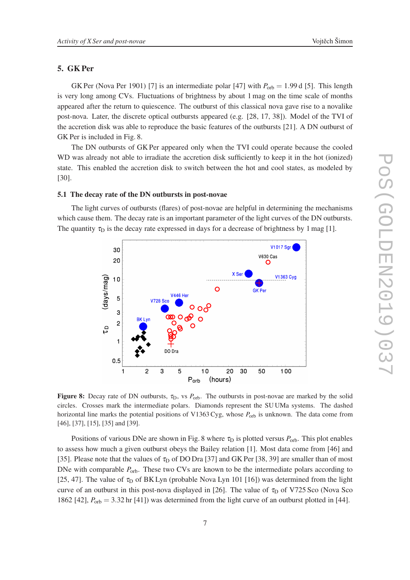## 5. GK Per

GK Per (Nova Per 1901) [7] is an intermediate polar [47] with  $P_{\text{orb}} = 1.99$  d [5]. This length is very long among CVs. Fluctuations of brightness by about 1 mag on the time scale of months appeared after the return to quiescence. The outburst of this classical nova gave rise to a novalike post-nova. Later, the discrete optical outbursts appeared (e.g. [28, 17, 38]). Model of the TVI of the accretion disk was able to reproduce the basic features of the outbursts [21]. A DN outburst of GK Per is included in Fig. 8.

The DN outbursts of GK Per appeared only when the TVI could operate because the cooled WD was already not able to irradiate the accretion disk sufficiently to keep it in the hot (ionized) state. This enabled the accretion disk to switch between the hot and cool states, as modeled by [30].

#### 5.1 The decay rate of the DN outbursts in post-novae

The light curves of outbursts (flares) of post-novae are helpful in determining the mechanisms which cause them. The decay rate is an important parameter of the light curves of the DN outbursts. The quantity  $\tau_D$  is the decay rate expressed in days for a decrease of brightness by 1 mag [1].



Figure 8: Decay rate of DN outbursts, τ<sub>D</sub>, vs P<sub>orb</sub>. The outbursts in post-novae are marked by the solid circles. Crosses mark the intermediate polars. Diamonds represent the SU UMa systems. The dashed horizontal line marks the potential positions of V1363 Cyg, whose  $P_{\text{orb}}$  is unknown. The data come from [46], [37], [15], [35] and [39].

Positions of various DNe are shown in Fig. 8 where  $\tau_D$  is plotted versus  $P_{\text{orb}}$ . This plot enables to assess how much a given outburst obeys the Bailey relation [1]. Most data come from [46] and [35]. Please note that the values of  $\tau_D$  of DO Dra [37] and GK Per [38, 39] are smaller than of most DNe with comparable  $P_{\text{orb}}$ . These two CVs are known to be the intermediate polars according to [25, 47]. The value of  $\tau_D$  of BK Lyn (probable Nova Lyn 101 [16]) was determined from the light curve of an outburst in this post-nova displayed in [26]. The value of  $\tau_D$  of V725 Sco (Nova Sco 1862 [42],  $P_{\text{orb}} = 3.32 \text{ hr}$  [41]) was determined from the light curve of an outburst plotted in [44].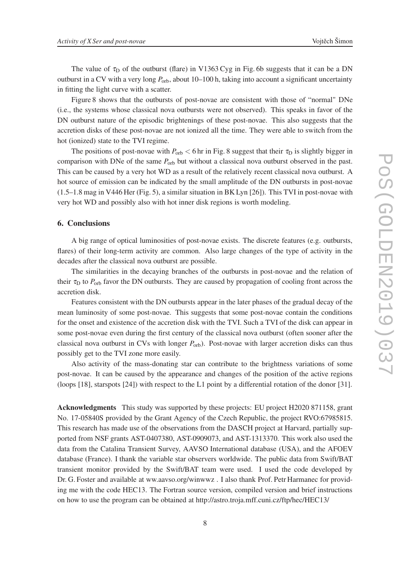The value of  $\tau_D$  of the outburst (flare) in V1363 Cyg in Fig. 6b suggests that it can be a DN outburst in a CV with a very long  $P_{\text{orb}}$ , about 10–100 h, taking into account a significant uncertainty in fitting the light curve with a scatter.

Figure 8 shows that the outbursts of post-novae are consistent with those of "normal" DNe (i.e., the systems whose classical nova outbursts were not observed). This speaks in favor of the DN outburst nature of the episodic brightenings of these post-novae. This also suggests that the accretion disks of these post-novae are not ionized all the time. They were able to switch from the hot (ionized) state to the TVI regime.

The positions of post-novae with  $P_{\text{orb}} < 6$  hr in Fig. 8 suggest that their  $\tau_D$  is slightly bigger in comparison with DNe of the same  $P_{\text{orb}}$  but without a classical nova outburst observed in the past. This can be caused by a very hot WD as a result of the relatively recent classical nova outburst. A hot source of emission can be indicated by the small amplitude of the DN outbursts in post-novae (1.5–1.8 mag in V446 Her (Fig. 5), a similar situation in BK Lyn [26]). This TVI in post-novae with very hot WD and possibly also with hot inner disk regions is worth modeling.

## 6. Conclusions

A big range of optical luminosities of post-novae exists. The discrete features (e.g. outbursts, flares) of their long-term activity are common. Also large changes of the type of activity in the decades after the classical nova outburst are possible.

The similarities in the decaying branches of the outbursts in post-novae and the relation of their  $\tau_{\rm D}$  to  $P_{\rm orb}$  favor the DN outbursts. They are caused by propagation of cooling front across the accretion disk.

Features consistent with the DN outbursts appear in the later phases of the gradual decay of the mean luminosity of some post-novae. This suggests that some post-novae contain the conditions for the onset and existence of the accretion disk with the TVI. Such a TVI of the disk can appear in some post-novae even during the first century of the classical nova outburst (often sooner after the classical nova outburst in CVs with longer *P*orb). Post-novae with larger accretion disks can thus possibly get to the TVI zone more easily.

Also activity of the mass-donating star can contribute to the brightness variations of some post-novae. It can be caused by the appearance and changes of the position of the active regions (loops [18], starspots [24]) with respect to the L1 point by a differential rotation of the donor [31].

Acknowledgments This study was supported by these projects: EU project H2020 871158, grant No. 17-05840S provided by the Grant Agency of the Czech Republic, the project RVO:67985815. This research has made use of the observations from the DASCH project at Harvard, partially supported from NSF grants AST-0407380, AST-0909073, and AST-1313370. This work also used the data from the Catalina Transient Survey, AAVSO International database (USA), and the AFOEV database (France). I thank the variable star observers worldwide. The public data from Swift/BAT transient monitor provided by the Swift/BAT team were used. I used the code developed by Dr. G. Foster and available at ww.aavso.org/winwwz . I also thank Prof. Petr Harmanec for providing me with the code HEC13. The Fortran source version, compiled version and brief instructions on how to use the program can be obtained at http://astro.troja.mff.cuni.cz/ftp/hec/HEC13/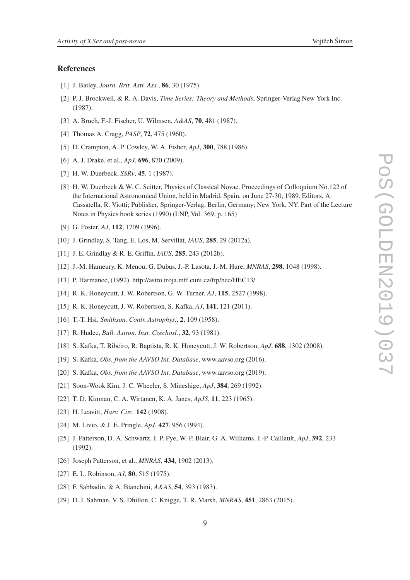## References

- [1] J. Bailey, *Journ. Brit. Astr. Ass.*, 86, 30 (1975).
- [2] P. J. Brockwell, & R. A. Davis, *Time Series: Theory and Methods*, Springer-Verlag New York Inc. (1987).
- [3] A. Bruch, F.-J. Fischer, U. Wilmsen, *A&AS*, 70, 481 (1987).
- [4] Thomas A. Cragg, *PASP*, 72, 475 (1960).
- [5] D. Crampton, A. P. Cowley, W. A. Fisher, *ApJ*, 300, 788 (1986).
- [6] A. J. Drake, et al., *ApJ*, 696, 870 (2009).
- [7] H. W. Duerbeck, *SSRv*, 45, 1 (1987).
- [8] H. W. Duerbeck & W. C. Seitter, Physics of Classical Novae. Proceedings of Colloquium No.122 of the International Astronomical Union, held in Madrid, Spain, on June 27-30, 1989. Editors, A. Cassatella, R. Viotti; Publisher, Springer-Verlag, Berlin, Germany; New York, NY. Part of the Lecture Notes in Physics book series (1990) (LNP, Vol. 369, p. 165)
- [9] G. Foster, *AJ*, 112, 1709 (1996).
- [10] J. Grindlay, S. Tang, E. Los, M. Servillat, *IAUS*, 285, 29 (2012a).
- [11] J. E. Grindlay & R. E. Griffin, *IAUS*, 285, 243 (2012b).
- [12] J.-M. Hameury, K. Menou, G. Dubus, J.-P. Lasota, J.-M. Hure, *MNRAS*, 298, 1048 (1998).
- [13] P. Harmanec, (1992). http://astro.troja.mff.cuni.cz/ftp/hec/HEC13/
- [14] R. K. Honeycutt, J. W. Robertson, G. W. Turner, *AJ*, 115, 2527 (1998).
- [15] R. K. Honeycutt, J. W. Robertson, S. Kafka, *AJ*, 141, 121 (2011).
- [16] T.-T. Hsi, *Smithson. Contr. Astrophys.*, 2, 109 (1958).
- [17] R. Hudec, *Bull. Astron. Inst. Czechosl.*, 32, 93 (1981).
- [18] S. Kafka, T. Ribeiro, R. Baptista, R. K. Honeycutt, J. W. Robertson, *ApJ*, 688, 1302 (2008).
- [19] S. Kafka, *Obs. from the AAVSO Int. Database*, www.aavso.org (2016).
- [20] S. Kafka, *Obs. from the AAVSO Int. Database*, www.aavso.org (2019).
- [21] Soon-Wook Kim, J. C. Wheeler, S. Mineshige, *ApJ*, 384, 269 (1992).
- [22] T. D. Kinman, C. A. Wirtanen, K. A. Janes, *ApJS*, 11, 223 (1965).
- [23] H. Leavitt, *Harv. Circ.* 142 (1908).
- [24] M. Livio, & J. E. Pringle, *ApJ*, 427, 956 (1994).
- [25] J. Patterson, D. A. Schwartz, J. P. Pye, W. P. Blair, G. A. Williams, J.-P. Caillault, *ApJ*, 392, 233 (1992).
- [26] Joseph Patterson, et al., *MNRAS*, 434, 1902 (2013).
- [27] E. L. Robinson, *AJ*, 80, 515 (1975).
- [28] F. Sabbadin, & A. Bianchini, *A&AS*, 54, 393 (1983).
- [29] D. I. Sahman, V. S. Dhillon, C. Knigge, T. R. Marsh, *MNRAS*, 451, 2863 (2015).